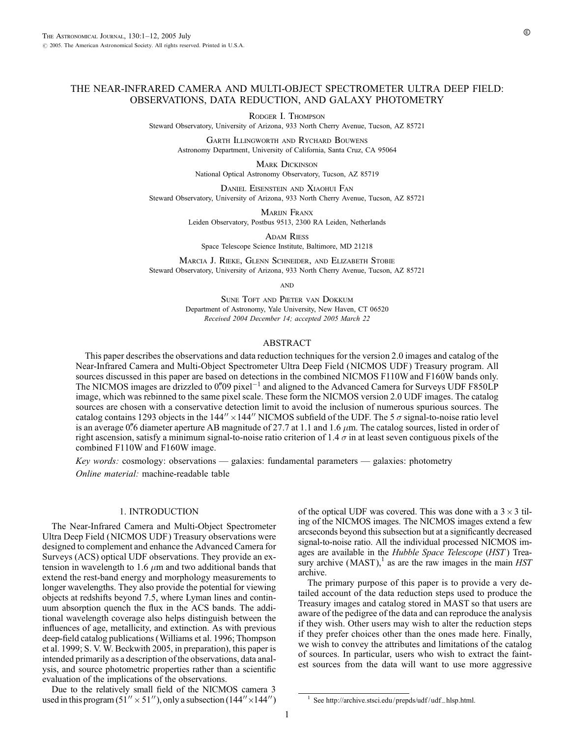# THE NEAR-INFRARED CAMERA AND MULTI-OBJECT SPECTROMETER ULTRA DEEP FIELD: OBSERVATIONS, DATA REDUCTION, AND GALAXY PHOTOMETRY

RODGER I. THOMPSON

Steward Observatory, University of Arizona, 933 North Cherry Avenue, Tucson, AZ 85721

Garth Illingworth and Rychard Bouwens Astronomy Department, University of California, Santa Cruz, CA 95064

Mark Dickinson National Optical Astronomy Observatory, Tucson, AZ 85719

Daniel Eisenstein and Xiaohui Fan Steward Observatory, University of Arizona, 933 North Cherry Avenue, Tucson, AZ 85721

Marijn Franx

Leiden Observatory, Postbus 9513, 2300 RA Leiden, Netherlands

Adam Riess

Space Telescope Science Institute, Baltimore, MD 21218

Marcia J. Rieke, Glenn Schneider, and Elizabeth Stobie Steward Observatory, University of Arizona, 933 North Cherry Avenue, Tucson, AZ 85721

**AND** 

SUNE TOFT AND PIETER VAN DOKKUM Department of Astronomy, Yale University, New Haven, CT 06520 Received 2004 December 14; accepted 2005 March 22

## ABSTRACT

This paper describes the observations and data reduction techniques for the version 2.0 images and catalog of the Near-Infrared Camera and Multi-Object Spectrometer Ultra Deep Field (NICMOS UDF ) Treasury program. All sources discussed in this paper are based on detections in the combined NICMOS F110W and F160W bands only. The NICMOS images are drizzled to  $0\rlap{.}^{\prime\prime}09$  pixel<sup>-1</sup> and aligned to the Advanced Camera for Surveys UDF F850LP image, which was rebinned to the same pixel scale. These form the NICMOS version 2.0 UDF images. The catalog sources are chosen with a conservative detection limit to avoid the inclusion of numerous spurious sources. The catalog contains 1293 objects in the 144"  $\times$  144" NICMOS subfield of the UDF. The 5  $\sigma$  signal-to-noise ratio level is an average 0. "<sup>6</sup> diameter aperture AB magnitude of 27.7 at 1.1 and 1.6  $\mu$ m. The catalog sources, listed in order of right ascension, satisfy a minimum signal-to-noise ratio criterion of 1.4  $\sigma$  in at least seven contiguous pixels of the combined F110W and F160W image.

Key words: cosmology: observations — galaxies: fundamental parameters — galaxies: photometry Online material: machine-readable table

# 1. INTRODUCTION

The Near-Infrared Camera and Multi-Object Spectrometer Ultra Deep Field (NICMOS UDF ) Treasury observations were designed to complement and enhance the Advanced Camera for Surveys (ACS) optical UDF observations. They provide an extension in wavelength to 1.6  $\mu$ m and two additional bands that extend the rest-band energy and morphology measurements to longer wavelengths. They also provide the potential for viewing objects at redshifts beyond 7.5, where Lyman lines and continuum absorption quench the flux in the ACS bands. The additional wavelength coverage also helps distinguish between the influences of age, metallicity, and extinction. As with previous deep-field catalog publications (Williams et al. 1996; Thompson et al. 1999; S. V. W. Beckwith 2005, in preparation), this paper is intended primarily as a description of the observations, data analysis, and source photometric properties rather than a scientific evaluation of the implications of the observations.

Due to the relatively small field of the NICMOS camera 3 used in this program  $(51'' \times 51'')$ , only a subsection  $(144'' \times 144'')$  of the optical UDF was covered. This was done with a  $3 \times 3$  tiling of the NICMOS images. The NICMOS images extend a few arcseconds beyond this subsection but at a significantly decreased signal-to-noise ratio. All the individual processed NICMOS images are available in the Hubble Space Telescope (HST) Treasury archive (MAST),<sup>1</sup> as are the raw images in the main  $HST$ archive.

The primary purpose of this paper is to provide a very detailed account of the data reduction steps used to produce the Treasury images and catalog stored in MAST so that users are aware of the pedigree of the data and can reproduce the analysis if they wish. Other users may wish to alter the reduction steps if they prefer choices other than the ones made here. Finally, we wish to convey the attributes and limitations of the catalog of sources. In particular, users who wish to extract the faintest sources from the data will want to use more aggressive

<sup>1</sup> See http://archive.stsci.edu/ prepds/udf / udf\_hlsp.html.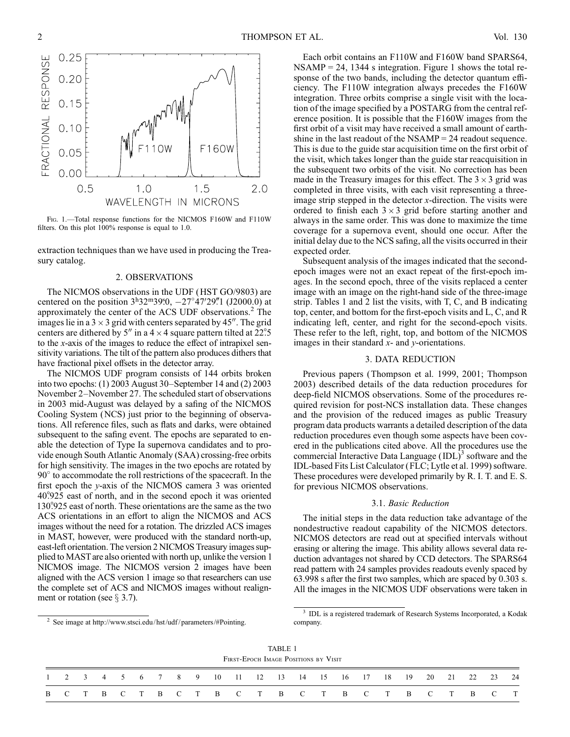ciency. The F110W integration always precedes the F160W integration. Three orbits comprise a single visit with the location of the image specified by a POSTARG from the central reference position. It is possible that the F160W images from the first orbit of a visit may have received a small amount of earthshine in the last readout of the NSAMP = 24 readout sequence. This is due to the guide star acquisition time on the first orbit of the visit, which takes longer than the guide star reacquisition in the subsequent two orbits of the visit. No correction has been made in the Treasury images for this effect. The  $3 \times 3$  grid was completed in three visits, with each visit representing a threeimage strip stepped in the detector  $x$ -direction. The visits were ordered to finish each  $3 \times 3$  grid before starting another and always in the same order. This was done to maximize the time coverage for a supernova event, should one occur. After the initial delay due to the NCS safing, all the visits occurred in their

expected order.

Each orbit contains an F110W and F160W band SPARS64,  $NSAMP = 24$ , 1344 s integration. Figure 1 shows the total response of the two bands, including the detector quantum effi-

Subsequent analysis of the images indicated that the secondepoch images were not an exact repeat of the first-epoch images. In the second epoch, three of the visits replaced a center image with an image on the right-hand side of the three-image strip. Tables 1 and 2 list the visits, with T, C, and B indicating top, center, and bottom for the first-epoch visits and L, C, and R indicating left, center, and right for the second-epoch visits. These refer to the left, right, top, and bottom of the NICMOS images in their standard  $x$ - and  $y$ -orientations.

# 3. DATA REDUCTION

Previous papers (Thompson et al. 1999, 2001; Thompson 2003) described details of the data reduction procedures for deep-field NICMOS observations. Some of the procedures required revision for post-NCS installation data. These changes and the provision of the reduced images as public Treasury program data products warrants a detailed description of the data reduction procedures even though some aspects have been covered in the publications cited above. All the procedures use the commercial Interactive Data Language  $(IDL)<sup>3</sup>$  software and the IDL-based Fits List Calculator (FLC; Lytle et al. 1999) software. These procedures were developed primarily by R. I. T. and E. S. for previous NICMOS observations.

### 3.1. Basic Reduction

The initial steps in the data reduction take advantage of the nondestructive readout capability of the NICMOS detectors. NICMOS detectors are read out at specified intervals without erasing or altering the image. This ability allows several data reduction advantages not shared by CCD detectors. The SPARS64 read pattern with 24 samples provides readouts evenly spaced by 63.998 s after the first two samples, which are spaced by 0.303 s. All the images in the NICMOS UDF observations were taken in



| TABLE 1<br>FIRST-EPOCH IMAGE POSITIONS BY VISIT |  |  |  |  |  |  |  |  |  |  |  |  |  |  |  |  |                                                           |    |
|-------------------------------------------------|--|--|--|--|--|--|--|--|--|--|--|--|--|--|--|--|-----------------------------------------------------------|----|
|                                                 |  |  |  |  |  |  |  |  |  |  |  |  |  |  |  |  | 2 3 4 5 6 7 8 9 10 11 12 13 14 15 16 17 18 19 20 21 22 23 | 24 |
|                                                 |  |  |  |  |  |  |  |  |  |  |  |  |  |  |  |  | C T B C T B C T B C T B C T B C T B C T B C               |    |

Fig. 1.—Total response functions for the NICMOS F160W and F110W filters. On this plot 100% response is equal to 1.0.

extraction techniques than we have used in producing the Treasury catalog.

## 2. OBSERVATIONS

The NICMOS observations in the UDF (HST GO/9803) are centered on the position  $3^{h}32^{m}39^{s}0$ ,  $-27^{\circ}47'29''1$  (J2000.0) at approximately the center of the ACS UDF observations.<sup>2</sup> The images lie in a  $3 \times 3$  grid with centers separated by 45". The grid centers are dithered by 5<sup>n</sup> in a 4  $\times$  4 square pattern tilted at 22°.5 to the x-axis of the images to reduce the effect of intrapixel sensitivity variations. The tilt of the pattern also produces dithers that have fractional pixel offsets in the detector array.

The NICMOS UDF program consists of 144 orbits broken into two epochs: (1) 2003 August 30–September 14 and (2) 2003 November 2–November 27. The scheduled start of observations in 2003 mid-August was delayed by a safing of the NICMOS Cooling System (NCS) just prior to the beginning of observations. All reference files, such as flats and darks, were obtained subsequent to the safing event. The epochs are separated to enable the detection of Type Ia supernova candidates and to provide enough South Atlantic Anomaly (SAA) crossing-free orbits for high sensitivity. The images in the two epochs are rotated by 90° to accommodate the roll restrictions of the spacecraft. In the first epoch the y-axis of the NICMOS camera 3 was oriented  $40^\circ$ 925 east of north, and in the second epoch it was oriented 130°925 east of north. These orientations are the same as the two ACS orientations in an effort to align the NICMOS and ACS images without the need for a rotation. The drizzled ACS images in MAST, however, were produced with the standard north-up, east-left orientation. The version 2 NICMOS Treasury images supplied to MAST are also oriented with north up, unlike the version 1 NICMOS image. The NICMOS version 2 images have been aligned with the ACS version 1 image so that researchers can use the complete set of ACS and NICMOS images without realignment or rotation (see  $\S$  3.7).

> <sup>3</sup> IDL is a registered trademark of Research Systems Incorporated, a Kodak company.

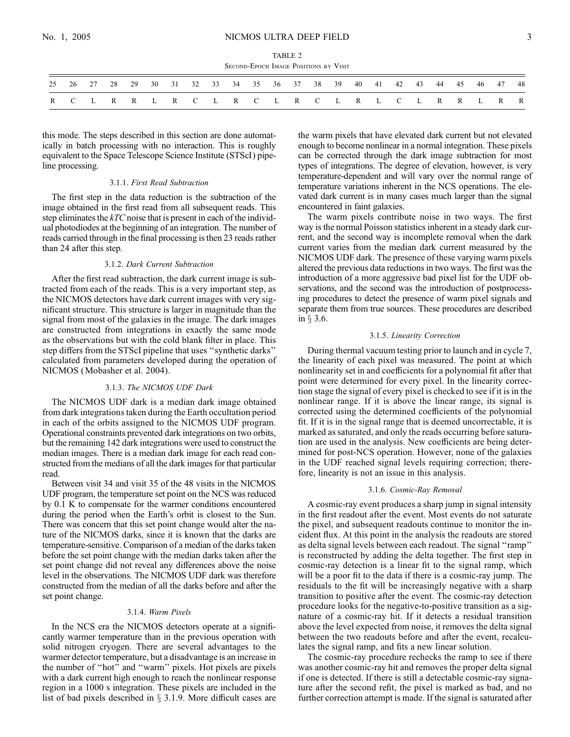# No. 1, 2005 NICMOS ULTRA DEEP FIELD 3

### TABLE 2 SECOND-EPOCH IMAGE POSITIONS BY VISIT

|  |  |  |  |  |  |  |  |  |  |  | 25   26   27   28   29   30   31   32   33   34   35   36   37   38   39   40   41   42   43   44   45   46   47   48 |  |
|--|--|--|--|--|--|--|--|--|--|--|-----------------------------------------------------------------------------------------------------------------------|--|
|  |  |  |  |  |  |  |  |  |  |  | R C L R R L R C L R C L R C L R L C L R R L R R                                                                       |  |

this mode. The steps described in this section are done automatically in batch processing with no interaction. This is roughly equivalent to the Space Telescope Science Institute (STScI) pipeline processing.

## 3.1.1. First Read Subtraction

The first step in the data reduction is the subtraction of the image obtained in the first read from all subsequent reads. This step eliminates the  $kTC$  noise that is present in each of the individual photodiodes at the beginning of an integration. The number of reads carried through in the final processing is then 23 reads rather than 24 after this step.

### 3.1.2. Dark Current Subtraction

After the first read subtraction, the dark current image is subtracted from each of the reads. This is a very important step, as the NICMOS detectors have dark current images with very significant structure. This structure is larger in magnitude than the signal from most of the galaxies in the image. The dark images are constructed from integrations in exactly the same mode as the observations but with the cold blank filter in place. This step differs from the STScI pipeline that uses ''synthetic darks'' calculated from parameters developed during the operation of NICMOS (Mobasher et al. 2004).

### 3.1.3. The NICMOS UDF Dark

The NICMOS UDF dark is a median dark image obtained from dark integrations taken during the Earth occultation period in each of the orbits assigned to the NICMOS UDF program. Operational constraints prevented dark integrations on two orbits, but the remaining 142 dark integrations were used to construct the median images. There is a median dark image for each read constructed from the medians of all the dark images for that particular read.

Between visit 34 and visit 35 of the 48 visits in the NICMOS UDF program, the temperature set point on the NCS was reduced by 0.1 K to compensate for the warmer conditions encountered during the period when the Earth's orbit is closest to the Sun. There was concern that this set point change would alter the nature of the NICMOS darks, since it is known that the darks are temperature-sensitive. Comparison of a median of the darks taken before the set point change with the median darks taken after the set point change did not reveal any differences above the noise level in the observations. The NICMOS UDF dark was therefore constructed from the median of all the darks before and after the set point change.

## 3.1.4. Warm Pixels

In the NCS era the NICMOS detectors operate at a significantly warmer temperature than in the previous operation with solid nitrogen cryogen. There are several advantages to the warmer detector temperature, but a disadvantage is an increase in the number of ''hot'' and ''warm'' pixels. Hot pixels are pixels with a dark current high enough to reach the nonlinear response region in a 1000 s integration. These pixels are included in the list of bad pixels described in  $\S$  3.1.9. More difficult cases are the warm pixels that have elevated dark current but not elevated enough to become nonlinear in a normal integration. These pixels can be corrected through the dark image subtraction for most types of integrations. The degree of elevation, however, is very temperature-dependent and will vary over the normal range of temperature variations inherent in the NCS operations. The elevated dark current is in many cases much larger than the signal encountered in faint galaxies.

The warm pixels contribute noise in two ways. The first way is the normal Poisson statistics inherent in a steady dark current, and the second way is incomplete removal when the dark current varies from the median dark current measured by the NICMOS UDF dark. The presence of these varying warm pixels altered the previous data reductions in two ways. The first was the introduction of a more aggressive bad pixel list for the UDF observations, and the second was the introduction of postprocessing procedures to detect the presence of warm pixel signals and separate them from true sources. These procedures are described in  $\S$  3.6.

### 3.1.5. Linearity Correction

During thermal vacuum testing prior to launch and in cycle 7, the linearity of each pixel was measured. The point at which nonlinearity set in and coefficients for a polynomial fit after that point were determined for every pixel. In the linearity correction stage the signal of every pixel is checked to see if it is in the nonlinear range. If it is above the linear range, its signal is corrected using the determined coefficients of the polynomial fit. If it is in the signal range that is deemed uncorrectable, it is marked as saturated, and only the reads occurring before saturation are used in the analysis. New coefficients are being determined for post-NCS operation. However, none of the galaxies in the UDF reached signal levels requiring correction; therefore, linearity is not an issue in this analysis.

#### 3.1.6. Cosmic-Ray Removal

A cosmic-ray event produces a sharp jump in signal intensity in the first readout after the event. Most events do not saturate the pixel, and subsequent readouts continue to monitor the incident flux. At this point in the analysis the readouts are stored as delta signal levels between each readout. The signal ''ramp'' is reconstructed by adding the delta together. The first step in cosmic-ray detection is a linear fit to the signal ramp, which will be a poor fit to the data if there is a cosmic-ray jump. The residuals to the fit will be increasingly negative with a sharp transition to positive after the event. The cosmic-ray detection procedure looks for the negative-to-positive transition as a signature of a cosmic-ray hit. If it detects a residual transition above the level expected from noise, it removes the delta signal between the two readouts before and after the event, recalculates the signal ramp, and fits a new linear solution.

The cosmic-ray procedure rechecks the ramp to see if there was another cosmic-ray hit and removes the proper delta signal if one is detected. If there is still a detectable cosmic-ray signature after the second refit, the pixel is marked as bad, and no further correction attempt is made. If the signal is saturated after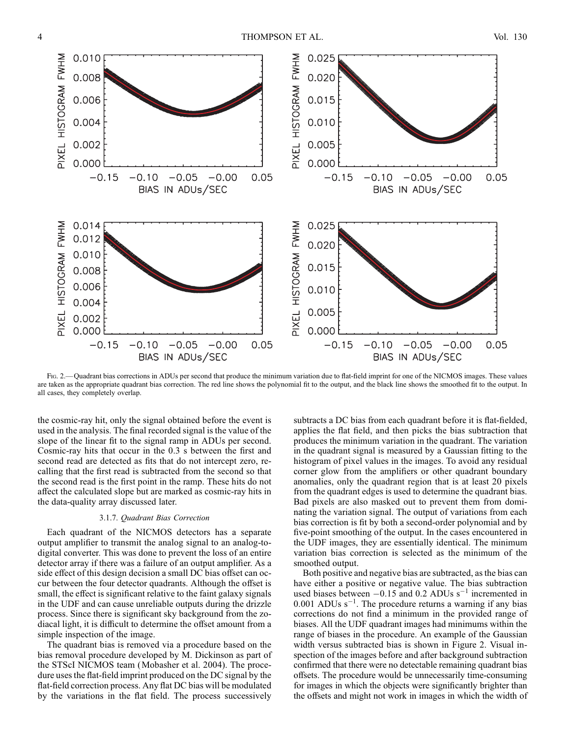

Fig. 2.—Quadrant bias corrections in ADUs per second that produce the minimum variation due to flat-field imprint for one of the NICMOS images. These values are taken as the appropriate quadrant bias correction. The red line shows the polynomial fit to the output, and the black line shows the smoothed fit to the output. In all cases, they completely overlap.

the cosmic-ray hit, only the signal obtained before the event is used in the analysis. The final recorded signal is the value of the slope of the linear fit to the signal ramp in ADUs per second. Cosmic-ray hits that occur in the 0.3 s between the first and second read are detected as fits that do not intercept zero, recalling that the first read is subtracted from the second so that the second read is the first point in the ramp. These hits do not affect the calculated slope but are marked as cosmic-ray hits in the data-quality array discussed later.

## 3.1.7. Quadrant Bias Correction

Each quadrant of the NICMOS detectors has a separate output amplifier to transmit the analog signal to an analog-todigital converter. This was done to prevent the loss of an entire detector array if there was a failure of an output amplifier. As a side effect of this design decision a small DC bias offset can occur between the four detector quadrants. Although the offset is small, the effect is significant relative to the faint galaxy signals in the UDF and can cause unreliable outputs during the drizzle process. Since there is significant sky background from the zodiacal light, it is difficult to determine the offset amount from a simple inspection of the image.

The quadrant bias is removed via a procedure based on the bias removal procedure developed by M. Dickinson as part of the STScI NICMOS team (Mobasher et al. 2004). The procedure uses the flat-field imprint produced on the DC signal by the flat-field correction process. Any flat DC bias will be modulated by the variations in the flat field. The process successively

subtracts a DC bias from each quadrant before it is flat-fielded, applies the flat field, and then picks the bias subtraction that produces the minimum variation in the quadrant. The variation in the quadrant signal is measured by a Gaussian fitting to the histogram of pixel values in the images. To avoid any residual corner glow from the amplifiers or other quadrant boundary anomalies, only the quadrant region that is at least 20 pixels from the quadrant edges is used to determine the quadrant bias. Bad pixels are also masked out to prevent them from dominating the variation signal. The output of variations from each bias correction is fit by both a second-order polynomial and by five-point smoothing of the output. In the cases encountered in the UDF images, they are essentially identical. The minimum variation bias correction is selected as the minimum of the smoothed output.

Both positive and negative bias are subtracted, as the bias can have either a positive or negative value. The bias subtraction used biases between  $-0.15$  and 0.2 ADUs s<sup>-1</sup> incremented in 0.001 ADUs  $s^{-1}$ . The procedure returns a warning if any bias corrections do not find a minimum in the provided range of biases. All the UDF quadrant images had minimums within the range of biases in the procedure. An example of the Gaussian width versus subtracted bias is shown in Figure 2. Visual inspection of the images before and after background subtraction confirmed that there were no detectable remaining quadrant bias offsets. The procedure would be unnecessarily time-consuming for images in which the objects were significantly brighter than the offsets and might not work in images in which the width of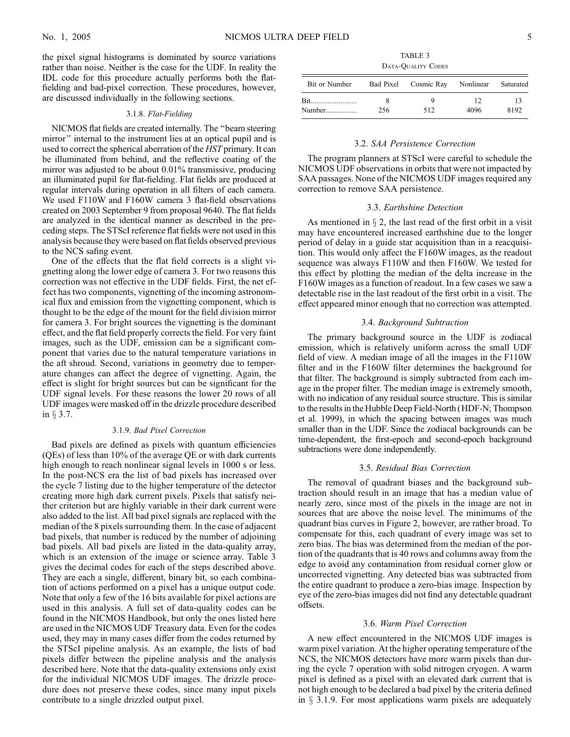the pixel signal histograms is dominated by source variations rather than noise. Neither is the case for the UDF. In reality the IDL code for this procedure actually performs both the flatfielding and bad-pixel correction. These procedures, however, are discussed individually in the following sections.

## 3.1.8. Flat-Fielding

NICMOS flat fields are created internally. The ''beam steering mirror" internal to the instrument lies at an optical pupil and is used to correct the spherical aberration of the HST primary. It can be illuminated from behind, and the reflective coating of the mirror was adjusted to be about 0.01% transmissive, producing an illuminated pupil for flat-fielding. Flat fields are produced at regular intervals during operation in all filters of each camera. We used F110W and F160W camera 3 flat-field observations created on 2003 September 9 from proposal 9640. The flat fields are analyzed in the identical manner as described in the preceding steps. The STScI reference flat fields were not used in this analysis because they were based on flat fields observed previous to the NCS safing event.

One of the effects that the flat field corrects is a slight vignetting along the lower edge of camera 3. For two reasons this correction was not effective in the UDF fields. First, the net effect has two components, vignetting of the incoming astronomical flux and emission from the vignetting component, which is thought to be the edge of the mount for the field division mirror for camera 3. For bright sources the vignetting is the dominant effect, and the flat field properly corrects the field. For very faint images, such as the UDF, emission can be a significant component that varies due to the natural temperature variations in the aft shroud. Second, variations in geometry due to temperature changes can affect the degree of vignetting. Again, the effect is slight for bright sources but can be significant for the UDF signal levels. For these reasons the lower 20 rows of all UDF images were masked off in the drizzle procedure described in  $\S$  3.7.

## 3.1.9. Bad Pixel Correction

Bad pixels are defined as pixels with quantum efficiencies (QEs) of less than 10% of the average QE or with dark currents high enough to reach nonlinear signal levels in 1000 s or less. In the post-NCS era the list of bad pixels has increased over the cycle 7 listing due to the higher temperature of the detector creating more high dark current pixels. Pixels that satisfy neither criterion but are highly variable in their dark current were also added to the list. All bad pixel signals are replaced with the median of the 8 pixels surrounding them. In the case of adjacent bad pixels, that number is reduced by the number of adjoining bad pixels. All bad pixels are listed in the data-quality array, which is an extension of the image or science array. Table 3 gives the decimal codes for each of the steps described above. They are each a single, different, binary bit, so each combination of actions performed on a pixel has a unique output code. Note that only a few of the 16 bits available for pixel actions are used in this analysis. A full set of data-quality codes can be found in the NICMOS Handbook, but only the ones listed here are used in the NICMOS UDF Treasury data. Even for the codes used, they may in many cases differ from the codes returned by the STScI pipeline analysis. As an example, the lists of bad pixels differ between the pipeline analysis and the analysis described here. Note that the data-quality extensions only exist for the individual NICMOS UDF images. The drizzle procedure does not preserve these codes, since many input pixels contribute to a single drizzled output pixel.

TABLE 3 DATA-QUALITY CODES

| Bit or Number |     | Bad Pixel Cosmic Ray | Nonlinear | Saturated |
|---------------|-----|----------------------|-----------|-----------|
| Bit           | x   | 512                  | 12        | 13        |
| Number        | 256 |                      | 4096      | 8192      |

## 3.2. SAA Persistence Correction

The program planners at STScI were careful to schedule the NICMOS UDF observations in orbits that were not impacted by SAA passages. None of the NICMOS UDF images required any correction to remove SAA persistence.

#### 3.3. Earthshine Detection

As mentioned in  $\S 2$ , the last read of the first orbit in a visit may have encountered increased earthshine due to the longer period of delay in a guide star acquisition than in a reacquisition. This would only affect the F160W images, as the readout sequence was always F110W and then F160W. We tested for this effect by plotting the median of the delta increase in the F160W images as a function of readout. In a few cases we saw a detectable rise in the last readout of the first orbit in a visit. The effect appeared minor enough that no correction was attempted.

## 3.4. Background Subtraction

The primary background source in the UDF is zodiacal emission, which is relatively uniform across the small UDF field of view. A median image of all the images in the F110W filter and in the F160W filter determines the background for that filter. The background is simply subtracted from each image in the proper filter. The median image is extremely smooth, with no indication of any residual source structure. This is similar to the results in the Hubble Deep Field-North (HDF-N; Thompson et al. 1999), in which the spacing between images was much smaller than in the UDF. Since the zodiacal backgrounds can be time-dependent, the first-epoch and second-epoch background subtractions were done independently.

#### 3.5. Residual Bias Correction

The removal of quadrant biases and the background subtraction should result in an image that has a median value of nearly zero, since most of the pixels in the image are not in sources that are above the noise level. The minimums of the quadrant bias curves in Figure 2, however, are rather broad. To compensate for this, each quadrant of every image was set to zero bias. The bias was determined from the median of the portion of the quadrants that is 40 rows and columns away from the edge to avoid any contamination from residual corner glow or uncorrected vignetting. Any detected bias was subtracted from the entire quadrant to produce a zero-bias image. Inspection by eye of the zero-bias images did not find any detectable quadrant offsets.

## 3.6. Warm Pixel Correction

A new effect encountered in the NICMOS UDF images is warm pixel variation. At the higher operating temperature of the NCS, the NICMOS detectors have more warm pixels than during the cycle 7 operation with solid nitrogen cryogen. A warm pixel is defined as a pixel with an elevated dark current that is not high enough to be declared a bad pixel by the criteria defined in  $\S$  3.1.9. For most applications warm pixels are adequately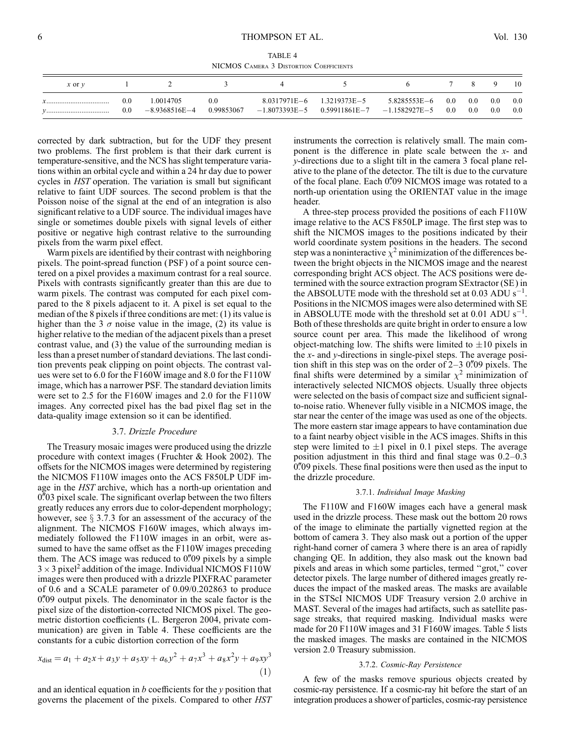TABLE 4 NICMOS Camera 3 Distortion Coefficients

| $x$ or $v$ |                         |                               |                   |              |                                                   |                                   |                      |                          |                | 10         |
|------------|-------------------------|-------------------------------|-------------------|--------------|---------------------------------------------------|-----------------------------------|----------------------|--------------------------|----------------|------------|
|            | 0.0<br>0.0 <sub>1</sub> | .0014705<br>$-8.9368516E - 4$ | 0.0<br>0.99853067 | 8.0317971E-6 | $1.3219373E - 5$<br>$-1.8073393E-5$ 0.59911861E-7 | 5.8285553E-6<br>$-1.1582927E - 5$ | 0.0<br>$0.0^{\circ}$ | $0.0\,$<br>$0.0^{\circ}$ | $0.0\,$<br>0.0 | 0.0<br>0.0 |

corrected by dark subtraction, but for the UDF they present two problems. The first problem is that their dark current is temperature-sensitive, and the NCS has slight temperature variations within an orbital cycle and within a 24 hr day due to power cycles in HST operation. The variation is small but significant relative to faint UDF sources. The second problem is that the Poisson noise of the signal at the end of an integration is also significant relative to a UDF source. The individual images have single or sometimes double pixels with signal levels of either positive or negative high contrast relative to the surrounding pixels from the warm pixel effect.

Warm pixels are identified by their contrast with neighboring pixels. The point-spread function ( PSF ) of a point source centered on a pixel provides a maximum contrast for a real source. Pixels with contrasts significantly greater than this are due to warm pixels. The contrast was computed for each pixel compared to the 8 pixels adjacent to it. A pixel is set equal to the median of the 8 pixels if three conditions are met: (1) its value is higher than the 3  $\sigma$  noise value in the image, (2) its value is higher relative to the median of the adjacent pixels than a preset contrast value, and (3) the value of the surrounding median is less than a preset number of standard deviations. The last condition prevents peak clipping on point objects. The contrast values were set to 6.0 for the F160W image and 8.0 for the F110W image, which has a narrower PSF. The standard deviation limits were set to 2.5 for the F160W images and 2.0 for the F110W images. Any corrected pixel has the bad pixel flag set in the data-quality image extension so it can be identified.

#### 3.7. Drizzle Procedure

The Treasury mosaic images were produced using the drizzle procedure with context images ( Fruchter & Hook 2002). The offsets for the NICMOS images were determined by registering the NICMOS F110W images onto the ACS F850LP UDF image in the HST archive, which has a north-up orientation and 0.03 pixel scale. The significant overlap between the two filters greatly reduces any errors due to color-dependent morphology; however, see  $\S 3.7.3$  for an assessment of the accuracy of the alignment. The NICMOS F160W images, which always immediately followed the F110W images in an orbit, were assumed to have the same offset as the F110W images preceding them. The ACS image was reduced to  $0\rlap.{''}09$  pixels by a simple  $3 \times 3$  pixel<sup>2</sup> addition of the image. Individual NICMOS F110W images were then produced with a drizzle PIXFRAC parameter of 0.6 and a SCALE parameter of 0.09/0.202863 to produce  $0\rlap.{''}09$  output pixels. The denominator in the scale factor is the pixel size of the distortion-corrected NICMOS pixel. The geometric distortion coefficients (L. Bergeron 2004, private communication) are given in Table 4. These coefficients are the constants for a cubic distortion correction of the form

$$
x_{\text{dist}} = a_1 + a_2x + a_3y + a_5xy + a_6y^2 + a_7x^3 + a_8x^2y + a_9xy^3
$$

$$
\tag{1}
$$

and an identical equation in  $b$  coefficients for the  $y$  position that governs the placement of the pixels. Compared to other HST instruments the correction is relatively small. The main component is the difference in plate scale between the x- and y-directions due to a slight tilt in the camera 3 focal plane relative to the plane of the detector. The tilt is due to the curvature of the focal plane. Each 0.09 NICMOS image was rotated to a north-up orientation using the ORIENTAT value in the image header.

A three-step process provided the positions of each F110W image relative to the ACS F850LP image. The first step was to shift the NICMOS images to the positions indicated by their world coordinate system positions in the headers. The second step was a noninteractive  $\chi^2$  minimization of the differences between the bright objects in the NICMOS image and the nearest corresponding bright ACS object. The ACS positions were determined with the source extraction program SExtractor (SE ) in the ABSOLUTE mode with the threshold set at 0.03 ADU  $s^{-1}$ . Positions in the NICMOS images were also determined with SE in ABSOLUTE mode with the threshold set at  $0.01$  ADU s<sup>-1</sup>. Both of these thresholds are quite bright in order to ensure a low source count per area. This made the likelihood of wrong object-matching low. The shifts were limited to  $\pm 10$  pixels in the x- and y-directions in single-pixel steps. The average position shift in this step was on the order of  $2-3$  0.09 pixels. The final shifts were determined by a similar  $\chi^2$  minimization of interactively selected NICMOS objects. Usually three objects were selected on the basis of compact size and sufficient signalto-noise ratio. Whenever fully visible in a NICMOS image, the star near the center of the image was used as one of the objects. The more eastern star image appears to have contamination due to a faint nearby object visible in the ACS images. Shifts in this step were limited to  $\pm 1$  pixel in 0.1 pixel steps. The average position adjustment in this third and final stage was 0.2–0.3  $0\rlap.{''}09$  pixels. These final positions were then used as the input to the drizzle procedure.

#### 3.7.1. Individual Image Masking

The F110W and F160W images each have a general mask used in the drizzle process. These mask out the bottom 20 rows of the image to eliminate the partially vignetted region at the bottom of camera 3. They also mask out a portion of the upper right-hand corner of camera 3 where there is an area of rapidly changing QE. In addition, they also mask out the known bad pixels and areas in which some particles, termed ''grot,'' cover detector pixels. The large number of dithered images greatly reduces the impact of the masked areas. The masks are available in the STScI NICMOS UDF Treasury version 2.0 archive in MAST. Several of the images had artifacts, such as satellite passage streaks, that required masking. Individual masks were made for 20 F110W images and 31 F160W images. Table 5 lists the masked images. The masks are contained in the NICMOS version 2.0 Treasury submission.

#### 3.7.2. Cosmic-Ray Persistence

A few of the masks remove spurious objects created by cosmic-ray persistence. If a cosmic-ray hit before the start of an integration produces a shower of particles, cosmic-ray persistence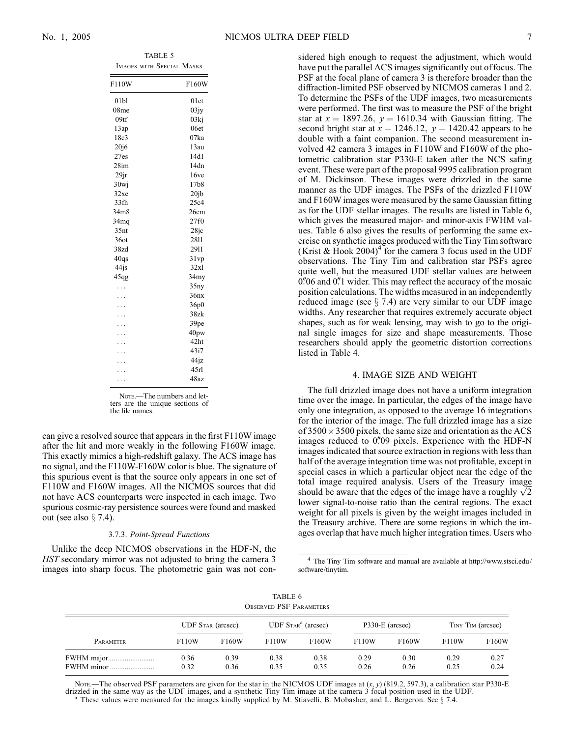TABLE 5 Images with Special Masks

| F110W            | F160W            |
|------------------|------------------|
| 01 <sub>b1</sub> | 01ct             |
| 08me             | 03jy             |
| 09tf             | 03ki             |
| 13ap             | 06et             |
| 18c3             | 07ka             |
| 20j6             | 13au             |
| 27es             | 14d1             |
| 28 <sub>im</sub> | 14dn             |
| 29 <sub>ir</sub> | 16ve             |
| $30$ wj          | 17b8             |
| 32xe             | 20jb             |
| 33 <sub>fh</sub> | 25c4             |
| 34m8             | 26cm             |
| 34 <sub>mq</sub> | 27f0             |
| 35nt             | 28 <sub>jc</sub> |
| 36ot             | 2811             |
| 38zd             | 2911             |
| 40qs             | 31vp             |
| $44$ js          | 32x1             |
| 45qg             | 34my             |
|                  | 35 <sub>ny</sub> |
|                  | 36nx             |
|                  | 36p0             |
|                  | 38zk             |
|                  | 39pe             |
|                  | 40pw             |
|                  | 42ht             |
|                  | 43i7             |
|                  | 44jz             |
|                  | 45r1             |
|                  | 48az             |
|                  |                  |

Note.-The numbers and letters are the unique sections of the file names.

can give a resolved source that appears in the first F110W image after the hit and more weakly in the following F160W image. This exactly mimics a high-redshift galaxy. The ACS image has no signal, and the F110W-F160W color is blue. The signature of this spurious event is that the source only appears in one set of F110W and F160W images. All the NICMOS sources that did not have ACS counterparts were inspected in each image. Two spurious cosmic-ray persistence sources were found and masked out (see also  $\S$  7.4).

#### 3.7.3. Point-Spread Functions

Unlike the deep NICMOS observations in the HDF-N, the HST secondary mirror was not adjusted to bring the camera 3 images into sharp focus. The photometric gain was not con-

sidered high enough to request the adjustment, which would have put the parallel ACS images significantly out of focus. The PSF at the focal plane of camera 3 is therefore broader than the diffraction-limited PSF observed by NICMOS cameras 1 and 2. To determine the PSFs of the UDF images, two measurements were performed. The first was to measure the PSF of the bright star at  $x = 1897.26$ ,  $y = 1610.34$  with Gaussian fitting. The second bright star at  $x = 1246.12$ ,  $y = 1420.42$  appears to be double with a faint companion. The second measurement involved 42 camera 3 images in F110W and F160W of the photometric calibration star P330-E taken after the NCS safing event. These were part of the proposal 9995 calibration program of M. Dickinson. These images were drizzled in the same manner as the UDF images. The PSFs of the drizzled F110W and F160W images were measured by the same Gaussian fitting as for the UDF stellar images. The results are listed in Table 6, which gives the measured major- and minor-axis FWHM values. Table 6 also gives the results of performing the same exercise on synthetic images produced with the Tiny Tim software (Krist & Hook 2004)<sup>4</sup> for the camera 3 focus used in the UDF observations. The Tiny Tim and calibration star PSFs agree quite well, but the measured UDF stellar values are between  $0\rlap.{''}06$  and  $0\rlap.{''}1$  wider. This may reflect the accuracy of the mosaic position calculations. The widths measured in an independently reduced image (see  $\S$  7.4) are very similar to our UDF image widths. Any researcher that requires extremely accurate object shapes, such as for weak lensing, may wish to go to the original single images for size and shape measurements. Those researchers should apply the geometric distortion corrections listed in Table 4.

## 4. IMAGE SIZE AND WEIGHT

The full drizzled image does not have a uniform integration time over the image. In particular, the edges of the image have only one integration, as opposed to the average 16 integrations for the interior of the image. The full drizzled image has a size of  $3500 \times 3500$  pixels, the same size and orientation as the ACS images reduced to 0."09 pixels. Experience with the HDF-N images indicated that source extraction in regions with less than half of the average integration time was not profitable, except in special cases in which a particular object near the edge of the total image required analysis. Users of the Treasury image should be aware that the edges of the image have a roughly  $\sqrt{2}$ lower signal-to-noise ratio than the central regions. The exact weight for all pixels is given by the weight images included in the Treasury archive. There are some regions in which the images overlap that have much higher integration times. Users who

<sup>4</sup> The Tiny Tim software and manual are available at http://www.stsci.edu/ software/tinytim.

| TABLE 6                        |
|--------------------------------|
| <b>OBSERVED PSF PARAMETERS</b> |

|            |              | <b>UDF</b> STAR (arcsec) |              | $UDF$ $STARa$ (arcsec) |              | $P330-E$ (arcsec) | TINY TIM (arcsec) |              |  |
|------------|--------------|--------------------------|--------------|------------------------|--------------|-------------------|-------------------|--------------|--|
| PARAMETER  | F110W        | F160W                    | F110W        | F160W                  | F110W        | F160W             | F110W             | F160W        |  |
| FWHM minor | 0.36<br>0.32 | 0.39<br>0.36             | 0.38<br>0.35 | 0.38<br>0.35           | 0.29<br>0.26 | 0.30<br>0.26      | 0.29<br>0.25      | 0.27<br>0.24 |  |

NOTE.—The observed PSF parameters are given for the star in the NICMOS UDF images at  $(x, y)$  (819.2, 597.3), a calibration star P330-E drizzled in the same way as the UDF images, and a synthetic Tiny Tim image at the camer

 $^{\rm a}$  These values were measured for the images kindly supplied by M. Stiavelli, B. Mobasher, and L. Bergeron. See  $\S$  7.4.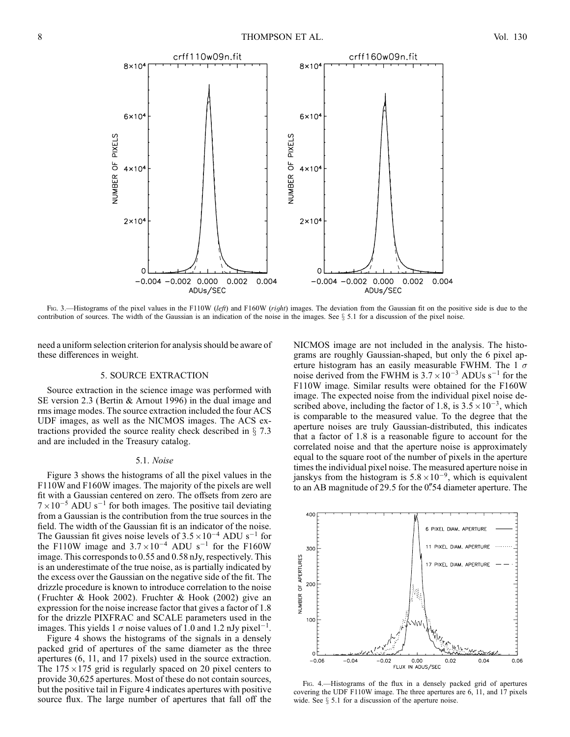

Fig. 3.—Histograms of the pixel values in the F110W (left) and F160W (right) images. The deviation from the Gaussian fit on the positive side is due to the contribution of sources. The width of the Gaussian is an indication of the noise in the images. See  $\S$  5.1 for a discussion of the pixel noise.

need a uniform selection criterion for analysis should be aware of these differences in weight.

## 5. SOURCE EXTRACTION

Source extraction in the science image was performed with SE version 2.3 (Bertin & Arnout 1996) in the dual image and rms image modes. The source extraction included the four ACS UDF images, as well as the NICMOS images. The ACS extractions provided the source reality check described in  $\S$  7.3 and are included in the Treasury catalog.

# 5.1. Noise

Figure 3 shows the histograms of all the pixel values in the F110W and F160W images. The majority of the pixels are well fit with a Gaussian centered on zero. The offsets from zero are  $7 \times 10^{-5}$  ADU s<sup>-1</sup> for both images. The positive tail deviating from a Gaussian is the contribution from the true sources in the field. The width of the Gaussian fit is an indicator of the noise. The Gaussian fit gives noise levels of  $3.5 \times 10^{-4}$  ADU s<sup>-1</sup> for the F110W image and  $3.7 \times 10^{-4}$  ADU s<sup>-1</sup> for the F160W image. This corresponds to 0.55 and 0.58 nJy, respectively. This is an underestimate of the true noise, as is partially indicated by the excess over the Gaussian on the negative side of the fit. The drizzle procedure is known to introduce correlation to the noise ( Fruchter & Hook 2002). Fruchter & Hook (2002) give an expression for the noise increase factor that gives a factor of 1.8 for the drizzle PIXFRAC and SCALE parameters used in the images. This yields 1  $\sigma$  noise values of 1.0 and 1.2 nJy pixel<sup>-1</sup>.

Figure 4 shows the histograms of the signals in a densely packed grid of apertures of the same diameter as the three apertures (6, 11, and 17 pixels) used in the source extraction. The  $175 \times 175$  grid is regularly spaced on 20 pixel centers to provide 30,625 apertures. Most of these do not contain sources, but the positive tail in Figure 4 indicates apertures with positive source flux. The large number of apertures that fall off the

NICMOS image are not included in the analysis. The histograms are roughly Gaussian-shaped, but only the 6 pixel aperture histogram has an easily measurable FWHM. The 1  $\sigma$ noise derived from the FWHM is  $3.7 \times 10^{-3}$  ADUs s<sup>-1</sup> for the F110W image. Similar results were obtained for the F160W image. The expected noise from the individual pixel noise described above, including the factor of 1.8, is  $3.5 \times 10^{-3}$ , which is comparable to the measured value. To the degree that the aperture noises are truly Gaussian-distributed, this indicates that a factor of 1.8 is a reasonable figure to account for the correlated noise and that the aperture noise is approximately equal to the square root of the number of pixels in the aperture times the individual pixel noise. The measured aperture noise in janskys from the histogram is  $5.8 \times 10^{-9}$ , which is equivalent to an AB magnitude of 29.5 for the 0. 54 diameter aperture. The



Fig. 4.—Histograms of the flux in a densely packed grid of apertures covering the UDF F110W image. The three apertures are 6, 11, and 17 pixels wide. See  $\S$  5.1 for a discussion of the aperture noise.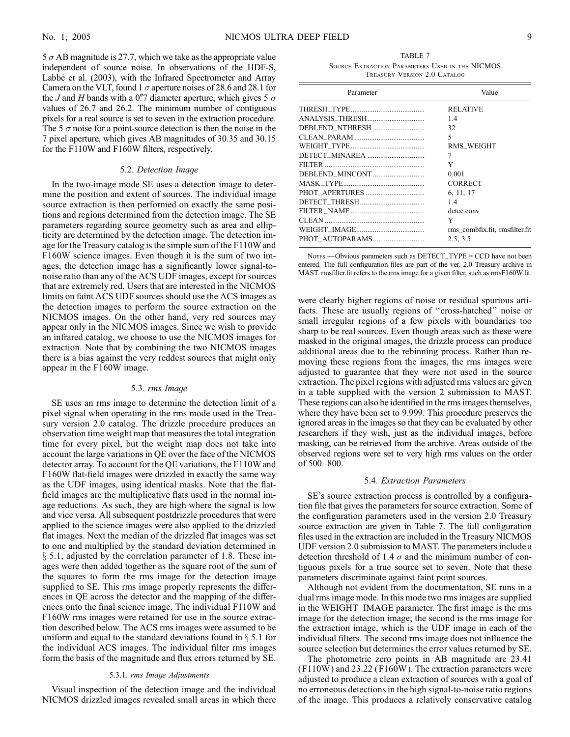$5 \sigma$  AB magnitude is 27.7, which we take as the appropriate value independent of source noise. In observations of the HDF-S, Labbé et al. (2003), with the Infrared Spectrometer and Array Camera on the VLT, found 1  $\sigma$  aperture noises of 28.6 and 28.1 for the J and H bands with a 0.7 diameter aperture, which gives 5  $\sigma$ values of 26.7 and 26.2. The minimum number of contiguous pixels for a real source is set to seven in the extraction procedure. The 5  $\sigma$  noise for a point-source detection is then the noise in the 7 pixel aperture, which gives AB magnitudes of 30.35 and 30.15 for the F110W and F160W filters, respectively.

### 5.2. Detection Image

In the two-image mode SE uses a detection image to determine the position and extent of sources. The individual image source extraction is then performed on exactly the same positions and regions determined from the detection image. The SE parameters regarding source geometry such as area and ellipticity are determined by the detection image. The detection image for the Treasury catalog is the simple sum of the F110W and F160W science images. Even though it is the sum of two images, the detection image has a significantly lower signal-tonoise ratio than any of the ACS UDF images, except for sources that are extremely red. Users that are interested in the NICMOS limits on faint ACS UDF sources should use the ACS images as the detection images to perform the source extraction on the NICMOS images. On the other hand, very red sources may appear only in the NICMOS images. Since we wish to provide an infrared catalog, we choose to use the NICMOS images for extraction. Note that by combining the two NICMOS images there is a bias against the very reddest sources that might only appear in the F160W image.

## 5.3. rms Image

SE uses an rms image to determine the detection limit of a pixel signal when operating in the rms mode used in the Treasury version 2.0 catalog. The drizzle procedure produces an observation time weight map that measures the total integration time for every pixel, but the weight map does not take into account the large variations in QE over the face of the NICMOS detector array. To account for the QE variations, the F110W and F160W flat-field images were drizzled in exactly the same way as the UDF images, using identical masks. Note that the flatfield images are the multiplicative flats used in the normal image reductions. As such, they are high where the signal is low and vice versa. All subsequent postdrizzle procedures that were applied to the science images were also applied to the drizzled flat images. Next the median of the drizzled flat images was set to one and multiplied by the standard deviation determined in  $\S$  5.1, adjusted by the correlation parameter of 1.8. These images were then added together as the square root of the sum of the squares to form the rms image for the detection image supplied to SE. This rms image properly represents the differences in QE across the detector and the mapping of the differences onto the final science image. The individual F110W and F160W rms images were retained for use in the source extraction described below. The ACS rms images were assumed to be uniform and equal to the standard deviations found in  $\S$  5.1 for the individual ACS images. The individual filter rms images form the basis of the magnitude and flux errors returned by SE.

### 5.3.1. rms Image Adjustments

Visual inspection of the detection image and the individual NICMOS drizzled images revealed small areas in which there

TABLE 7 Source Extraction Parameters Used in the NICMOS Treasury Version 2.0 Catalog

| Value                          |
|--------------------------------|
| <b>RELATIVE</b>                |
| 1.4                            |
| 32                             |
| 5                              |
| RMS WEIGHT                     |
| 7                              |
| Y                              |
| 0.001                          |
| CORRECT                        |
| 6, 11, 17                      |
| 14                             |
| detec.conv                     |
| Y                              |
| rms_combfix.fit, rmsfilter.fit |
| 2.5, 3.5                       |
|                                |

Nores.—Obvious parameters such as DETECT\_TYPE = CCD have not been entered. The full configuration files are part of the ver. 2.0 Treasury archive in MAST. rmsfilter.fit refers to the rms image for a given filter, such as rmsF160W.fit.

were clearly higher regions of noise or residual spurious artifacts. These are usually regions of ''cross-hatched'' noise or small irregular regions of a few pixels with boundaries too sharp to be real sources. Even though areas such as these were masked in the original images, the drizzle process can produce additional areas due to the rebinning process. Rather than removing these regions from the images, the rms images were adjusted to guarantee that they were not used in the source extraction. The pixel regions with adjusted rms values are given in a table supplied with the version 2 submission to MAST. These regions can also be identified in the rms images themselves, where they have been set to 9.999. This procedure preserves the ignored areas in the images so that they can be evaluated by other researchers if they wish, just as the individual images, before masking, can be retrieved from the archive. Areas outside of the observed regions were set to very high rms values on the order of 500–800.

#### 5.4. Extraction Parameters

SE's source extraction process is controlled by a configuration file that gives the parameters for source extraction. Some of the configuration parameters used in the version 2.0 Treasury source extraction are given in Table 7. The full configuration files used in the extraction are included in the Treasury NICMOS UDF version 2.0 submission to MAST. The parameters include a detection threshold of 1.4  $\sigma$  and the minimum number of contiguous pixels for a true source set to seven. Note that these parameters discriminate against faint point sources.

Although not evident from the documentation, SE runs in a dual rms image mode. In this mode two rms images are supplied in the WEIGHT\_IMAGE parameter. The first image is the rms image for the detection image; the second is the rms image for the extraction image, which is the UDF image in each of the individual filters. The second rms image does not influence the source selection but determines the error values returned by SE.

The photometric zero points in AB magnitude are 23.41 ( F110W ) and 23.22 (F160W ). The extraction parameters were adjusted to produce a clean extraction of sources with a goal of no erroneous detections in the high signal-to-noise ratio regions of the image. This produces a relatively conservative catalog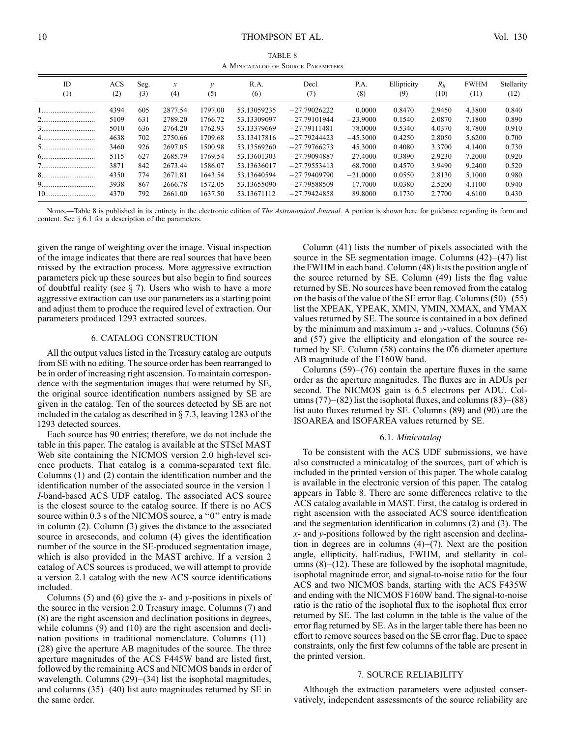TABLE 8 A Minicatalog of Source Parameters

| ID<br>(1) | <b>ACS</b><br>$^{(2)}$ | Seg.<br>(3) | $\boldsymbol{x}$<br>(4) | $\upsilon$<br>(5) | R.A.<br>(6) | Decl.<br>(7)   | P.A.<br>(8) | Ellipticity<br>(9) | $R_h$<br>(10) | <b>FWHM</b><br>(11) | Stellarity<br>(12) |
|-----------|------------------------|-------------|-------------------------|-------------------|-------------|----------------|-------------|--------------------|---------------|---------------------|--------------------|
|           | 4394                   | 605         | 2877.54                 | 1797.00           | 53.13059235 | $-27.79026222$ | 0.0000      | 0.8470             | 2.9450        | 4.3800              | 0.840              |
| 2         | 5109                   | 631         | 2789.20                 | 1766.72           | 53.13309097 | $-27.79101944$ | $-23.9000$  | 0.1540             | 2.0870        | 7.1800              | 0.890              |
| 3         | 5010                   | 636         | 2764.20                 | 1762.93           | 53.13379669 | $-27.79111481$ | 78.0000     | 0.5340             | 4.0370        | 8.7800              | 0.910              |
|           | 4638                   | 702         | 2750.66                 | 1709.68           | 53.13417816 | $-27.79244423$ | $-45.3000$  | 0.4250             | 2.8050        | 5.6200              | 0.700              |
| 5         | 3460                   | 926         | 2697.05                 | 1500.98           | 53.13569260 | $-27.79766273$ | 45.3000     | 0.4080             | 3.3700        | 4.1400              | 0.730              |
|           | 5115                   | 627         | 2685.79                 | 1769.54           | 53.13601303 | $-27.79094887$ | 27.4000     | 0.3890             | 2.9230        | 7.2000              | 0.920              |
| <u>/ </u> | 3871                   | 842         | 2673.44                 | 1586.07           | 53.13636017 | $-27.79553413$ | 68.7000     | 0.4570             | 3.9490        | 9.2400              | 0.520              |
|           | 4350                   | 774         | 2671.81                 | 1643.54           | 53.13640594 | $-27.79409790$ | $-21.0000$  | 0.0550             | 2.8130        | 5.1000              | 0.980              |
|           | 3938                   | 867         | 2666.78                 | 1572.05           | 53.13655090 | $-27.79588509$ | 17.7000     | 0.0380             | 2.5200        | 4.1100              | 0.940              |
|           | 4370                   | 792         | 2661.00                 | 1637.50           | 53.13671112 | $-27.79424858$ | 89.8000     | 0.1730             | 2.7700        | 4.6100              | 0.430              |

Notes.—Table 8 is published in its entirety in the electronic edition of The Astronomical Journal. A portion is shown here for guidance regarding its form and content. See  $\S 6.1$  for a description of the parameters.

given the range of weighting over the image. Visual inspection of the image indicates that there are real sources that have been missed by the extraction process. More aggressive extraction parameters pick up these sources but also begin to find sources of doubtful reality (see  $\S$  7). Users who wish to have a more aggressive extraction can use our parameters as a starting point and adjust them to produce the required level of extraction. Our parameters produced 1293 extracted sources.

## 6. CATALOG CONSTRUCTION

All the output values listed in the Treasury catalog are outputs from SE with no editing. The source order has been rearranged to be in order of increasing right ascension. To maintain correspondence with the segmentation images that were returned by SE, the original source identification numbers assigned by SE are given in the catalog. Ten of the sources detected by SE are not included in the catalog as described in  $\S$  7.3, leaving 1283 of the 1293 detected sources.

Each source has 90 entries; therefore, we do not include the table in this paper. The catalog is available at the STScI MAST Web site containing the NICMOS version 2.0 high-level science products. That catalog is a comma-separated text file. Columns (1) and (2) contain the identification number and the identification number of the associated source in the version 1 I-band-based ACS UDF catalog. The associated ACS source is the closest source to the catalog source. If there is no ACS source within 0.3 s of the NICMOS source, a "0" entry is made in column (2). Column (3) gives the distance to the associated source in arcseconds, and column (4) gives the identification number of the source in the SE-produced segmentation image, which is also provided in the MAST archive. If a version 2 catalog of ACS sources is produced, we will attempt to provide a version 2.1 catalog with the new ACS source identifications included.

Columns  $(5)$  and  $(6)$  give the x- and y-positions in pixels of the source in the version 2.0 Treasury image. Columns (7) and (8) are the right ascension and declination positions in degrees, while columns (9) and (10) are the right ascension and declination positions in traditional nomenclature. Columns (11)– (28) give the aperture AB magnitudes of the source. The three aperture magnitudes of the ACS F445W band are listed first, followed by the remaining ACS and NICMOS bands in order of wavelength. Columns (29)–(34) list the isophotal magnitudes, and columns (35)–(40) list auto magnitudes returned by SE in the same order.

Column (41) lists the number of pixels associated with the source in the SE segmentation image. Columns  $(42)$ – $(47)$  list the FWHM in each band. Column (48) lists the position angle of the source returned by SE. Column (49) lists the flag value returned by SE. No sources have been removed from the catalog on the basis of the value of the SE error flag. Columns (50)–(55) list the XPEAK, YPEAK, XMIN, YMIN, XMAX, and YMAX values returned by SE. The source is contained in a box defined by the minimum and maximum  $x$ - and  $y$ -values. Columns (56) and (57) give the ellipticity and elongation of the source returned by SE. Column  $(58)$  contains the  $0\rlap{.}^{\prime\prime}6$  diameter aperture AB magnitude of the F160W band.

Columns (59)–(76) contain the aperture fluxes in the same order as the aperture magnitudes. The fluxes are in ADUs per second. The NICMOS gain is 6.5 electrons per ADU. Columns (77)–(82) list the isophotal fluxes, and columns (83)–(88) list auto fluxes returned by SE. Columns (89) and (90) are the ISOAREA and ISOFAREA values returned by SE.

#### 6.1. Minicatalog

To be consistent with the ACS UDF submissions, we have also constructed a minicatalog of the sources, part of which is included in the printed version of this paper. The whole catalog is available in the electronic version of this paper. The catalog appears in Table 8. There are some differences relative to the ACS catalog available in MAST. First, the catalog is ordered in right ascension with the associated ACS source identification and the segmentation identification in columns (2) and (3). The x- and y-positions followed by the right ascension and declination in degrees are in columns  $(4)$ – $(7)$ . Next are the position angle, ellipticity, half-radius, FWHM, and stellarity in columns  $(8)$ – $(12)$ . These are followed by the isophotal magnitude, isophotal magnitude error, and signal-to-noise ratio for the four ACS and two NICMOS bands, starting with the ACS F435W and ending with the NICMOS F160W band. The signal-to-noise ratio is the ratio of the isophotal flux to the isophotal flux error returned by SE. The last column in the table is the value of the error flag returned by SE. As in the larger table there has been no effort to remove sources based on the SE error flag. Due to space constraints, only the first few columns of the table are present in the printed version.

## 7. SOURCE RELIABILITY

Although the extraction parameters were adjusted conservatively, independent assessments of the source reliability are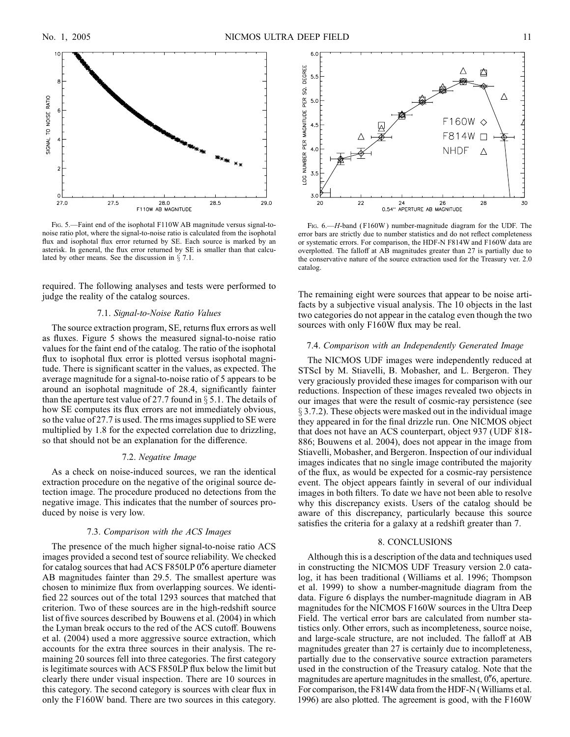

Fig. 5.—Faint end of the isophotal F110W AB magnitude versus signal-tonoise ratio plot, where the signal-to-noise ratio is calculated from the isophotal flux and isophotal flux error returned by SE. Each source is marked by an asterisk. In general, the flux error returned by SE is smaller than that calculated by other means. See the discussion in  $\S$  7.1.

required. The following analyses and tests were performed to judge the reality of the catalog sources.

### 7.1. Signal-to-Noise Ratio Values

The source extraction program, SE, returns flux errors as well as fluxes. Figure 5 shows the measured signal-to-noise ratio values for the faint end of the catalog. The ratio of the isophotal flux to isophotal flux error is plotted versus isophotal magnitude. There is significant scatter in the values, as expected. The average magnitude for a signal-to-noise ratio of 5 appears to be around an isophotal magnitude of 28.4, significantly fainter than the aperture test value of 27.7 found in  $\S$  5.1. The details of how SE computes its flux errors are not immediately obvious, so the value of 27.7 is used. The rms images supplied to SE were multiplied by 1.8 for the expected correlation due to drizzling, so that should not be an explanation for the difference.

# 7.2. Negative Image

As a check on noise-induced sources, we ran the identical extraction procedure on the negative of the original source detection image. The procedure produced no detections from the negative image. This indicates that the number of sources produced by noise is very low.

## 7.3. Comparison with the ACS Images

The presence of the much higher signal-to-noise ratio ACS images provided a second test of source reliability. We checked for catalog sources that had ACS F850LP 0." 6 aperture diameter AB magnitudes fainter than 29.5. The smallest aperture was chosen to minimize flux from overlapping sources. We identified 22 sources out of the total 1293 sources that matched that criterion. Two of these sources are in the high-redshift source list of five sources described by Bouwens et al. (2004) in which the Lyman break occurs to the red of the ACS cutoff. Bouwens et al. (2004) used a more aggressive source extraction, which accounts for the extra three sources in their analysis. The remaining 20 sources fell into three categories. The first category is legitimate sources with ACS F850LP flux below the limit but clearly there under visual inspection. There are 10 sources in this category. The second category is sources with clear flux in only the F160W band. There are two sources in this category.



FIG. 6.—H-band (F160W) number-magnitude diagram for the UDF. The error bars are strictly due to number statistics and do not reflect completeness or systematic errors. For comparison, the HDF-N F814W and F160W data are overplotted. The falloff at AB magnitudes greater than 27 is partially due to the conservative nature of the source extraction used for the Treasury ver. 2.0 catalog.

The remaining eight were sources that appear to be noise artifacts by a subjective visual analysis. The 10 objects in the last two categories do not appear in the catalog even though the two sources with only F160W flux may be real.

### 7.4. Comparison with an Independently Generated Image

The NICMOS UDF images were independently reduced at STScI by M. Stiavelli, B. Mobasher, and L. Bergeron. They very graciously provided these images for comparison with our reductions. Inspection of these images revealed two objects in our images that were the result of cosmic-ray persistence (see  $\S 3.7.2$ ). These objects were masked out in the individual image they appeared in for the final drizzle run. One NICMOS object that does not have an ACS counterpart, object 937 (UDF 818- 886; Bouwens et al. 2004), does not appear in the image from Stiavelli, Mobasher, and Bergeron. Inspection of our individual images indicates that no single image contributed the majority of the flux, as would be expected for a cosmic-ray persistence event. The object appears faintly in several of our individual images in both filters. To date we have not been able to resolve why this discrepancy exists. Users of the catalog should be aware of this discrepancy, particularly because this source satisfies the criteria for a galaxy at a redshift greater than 7.

## 8. CONCLUSIONS

Although this is a description of the data and techniques used in constructing the NICMOS UDF Treasury version 2.0 catalog, it has been traditional (Williams et al. 1996; Thompson et al. 1999) to show a number-magnitude diagram from the data. Figure 6 displays the number-magnitude diagram in AB magnitudes for the NICMOS F160W sources in the Ultra Deep Field. The vertical error bars are calculated from number statistics only. Other errors, such as incompleteness, source noise, and large-scale structure, are not included. The falloff at AB magnitudes greater than 27 is certainly due to incompleteness, partially due to the conservative source extraction parameters used in the construction of the Treasury catalog. Note that the magnitudes are aperture magnitudes in the smallest, 0. 6, aperture. For comparison, the F814W data from the HDF-N (Williams et al. 1996) are also plotted. The agreement is good, with the F160W